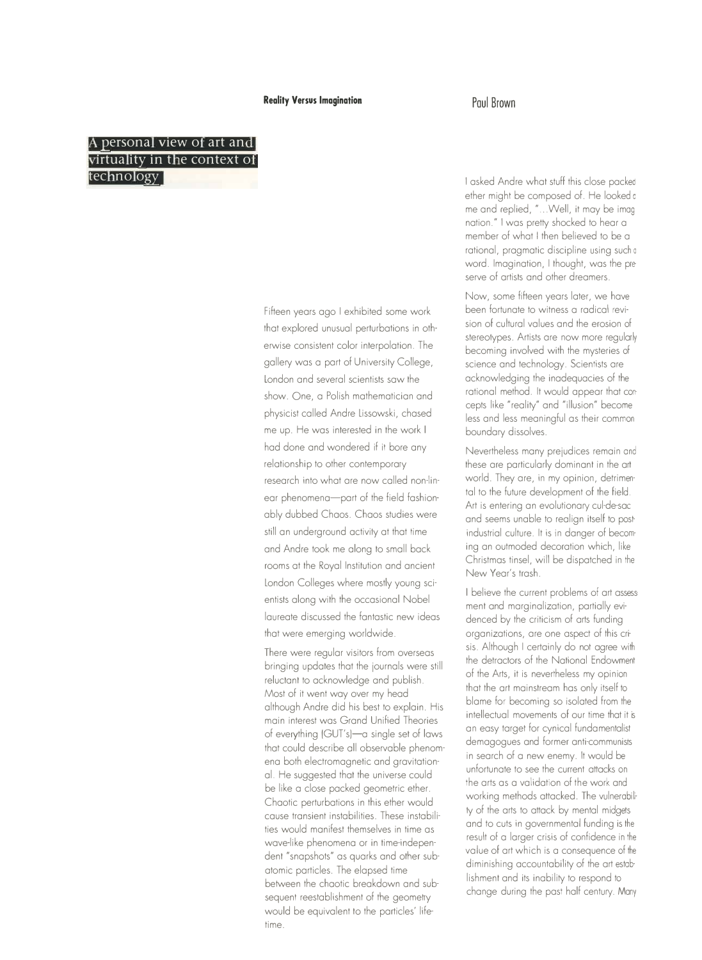# **A** personal view of art and **Virtuality in the context of tee no ogy**

Fifteen years ago I exhibited some work that explored unusual perturbations in otherwise consistent color interpolation. The gallery was a port of University College, London and several scientists saw the show. One, a Polish mathematician and physicist called Andre Lissowski, chased me up. He was interested in the work I had done and wondered if it bore any relationship to other contemporary research into what ore now called non-linear phenomena-part of the field fashionably dubbed Chaos. Chaos studies were still an underground activity at that time and Andre took me along to small back rooms at the Royal Institution and ancient London Colleges where mostly young scientists along with the occasional Nobel laureate discussed the fantastic new ideas that were emerging worldwide.

There were regular visitors from overseas bringing updates that the iournals were still reluctant to acknowledge and publish. Most of it went way over my head although Andre did his best to explain. His main interest was Grand Unified Theories of everything (GUT's)-a single set of laws that could describe all observable phenomena both electromagnetic and gravitational. He suggested that the universe could be like a close packed geometric ether. Chaotic perturbations in this ether would cause transient instabilities. These instabilities would manifest themselves in time as wave-like phenomena or in time-independent "snapshots" as quarks and other subatomic particles. The elapsed time between the chaotic breakdown and subsequent reestablishment of the geometry would be equivalent to the particles' lifetime.

I asked Andre what stuff this close packea ether might be composed of. He looked a me and replied, " ... Well, it may be imag nation." I was pretty shocked to hear a member of what I then believed to be a rational, pragmatic discipline using such o word. Imagination, I thought, was the preserve of artists and other dreamers.

Now, some fifteen years later, we have been fortunate to witness a radical revision of cultural values and the erosion of stereotypes. Artists are now more regularly becoming involved with the mysteries of science and technology. Scientists ore acknowledging the inadequacies of the rational method. It would appear that concepts like "reality" and "illusion" become less and less meaningful as their common boundary dissolves.

Nevertheless many preiudices remain and these ore particularly dominant in the art world. They ore, in my opinion, detrimen· tal to the future development of the field. Art is entering an evolutionary cul-de-sac and seems unable to realign itself to post· industrial culture. It is in danger of becom· ing an outmoded decoration which, like Christmas tinsel, will be dispatched in the New Year's trash.

I believe the current problems of art assess· ment and marginalization, partially evidenced by the criticism of arts funding organizations, ore one aspect of this crisis. Although I certainly do not agree with the detractors of the National Endowment of the Arts, it is nevertheless my opinion that the art mainstream has only itself to blame for becoming so isolated from the intellectual movements of our time that it is an easy target for cynical fundamentalist demagogues and former anti-communists in search of a new enemy. It would be unfortunate to see the current attacks on the arts as a validation of the work and working methods attacked. The vulnerabili· ty of the arts to attack by mental midgets and to cuts in governmental funding is the result of a larger crisis of confidence in the value of art which is a consequence of the diminishing accountability of the art establishment and its inability to respond to change during the past half century. Many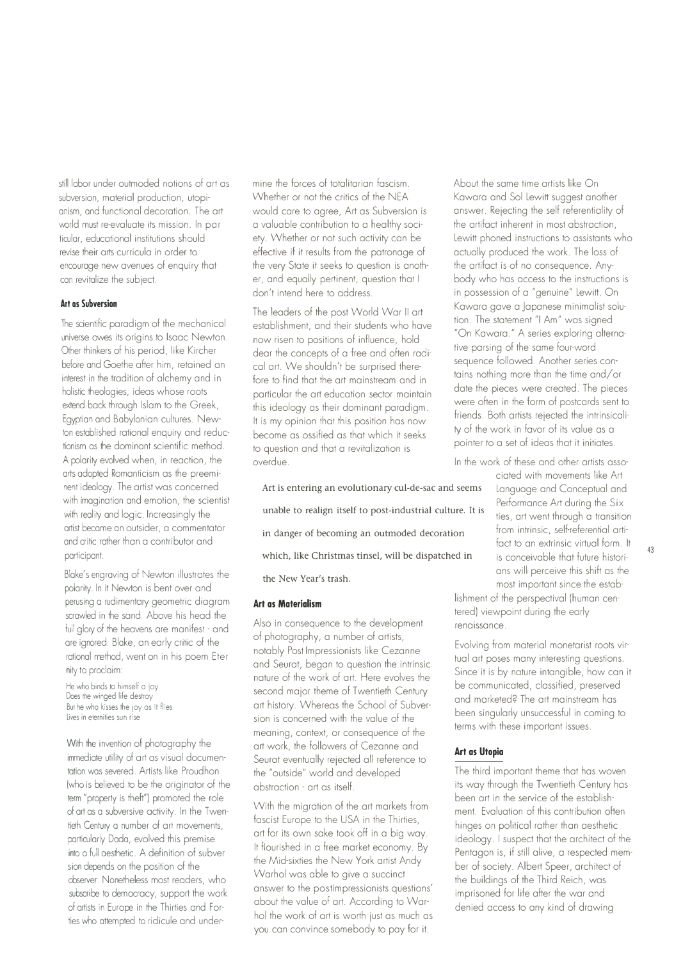still labor under outmoded notions of art as subversion, material production, utopianism, and functional decoration. The art world must re-evaluate its mission. In particular, educational institutions should revise their arts curricula in order to encourage new avenues of enquiry that can revitalize the subject.

#### **Art as Subversion**

The scientific paradigm of the mechanical universe owes its origins to Isaac Newton. Other thinkers of his period, like Kircher before and Goethe after him, retained an interest in the tradition of alchemy and in holistic theologies, ideas whose roots extend back through Islam to the Greek, Egyptian and Babylonian cultures. Newton established rational enquiry and reductionism as the dominant scientific method. A polarity evolved when, in reaction, the arts adopted Romanticism as the preeminent ideology. The artist was concerned with imagination and emotion, the scientist with reality and logic. Increasingly the artist became an outsider, a commentator and critic rather than a contributor and participant.

Blake's engraving of Newton illustrates the polarity. In it Newton is bent over and perusing a rudimentary geometric diagram scrawled in the sand. Above his head the full glory of the heavens are manifest - and are ignored. Blake, an early critic of the rational method, went on in his poem Eternity to proclaim:

He who binds to himself a joy Does the winged life destroy But he who kisses the joy as ii flies lives in eternities sun rise

With the invention of photography the immediate utility of art as visual documentation was severed. Artists like Proudhon (who is believed to be the originator of the term "property is theft") promoted the role of art as a subversive activity. In the Twentieth Century a number of art movements, particularly Dada, evolved this premise into a full aesthetic. A definition of subver sion depends on the position of the observer. Nonetheless most readers, who subscribe to democracy, support the work of artists in Europe in the Thirties and Forties who attempted to ridicule and undermine the forces of totalitarian fascism. Whether or not the critics of the NEA would care to agree, Art as Subversion is a valuable contribution to a healthy society. Whether or not such activity can be effective if it results from the patronage of the very State it seeks to question is another, and equally pertinent, question that I don't intend here to address.

The leaders of the post World War II art establishment, and their students who have now risen to positions of influence, hold dear the concepts of a free and often radical art. We shouldn't be surprised therefore to find that the art mainstream and in particular the art education sector maintain this ideology as their dominant paradigm. It is my opinion that this position has now become as ossified as that which it seeks to question and that a revitalization is overdue.

Art is entering an evolutionary cul-de-sac and seems Language and Conceptual and unable to realign itself to post-industrial culture. It is in danger of becoming an outmoded decoration which, like Christmas tinsel, will be dispatched in the New Year's trash.

#### **Art as Materialism**

Also in consequence to the development of photography, a number of artists, notably Post Impressionists like Cezanne and Seurat, began to question the intrinsic nature of the work of art. Here evolves the second major theme of Twentieth Century art history. Whereas the School of Subversion is concerned with the value of the meaning, context, or consequence of the art work, the followers of Cezanne and Seurat eventually rejected all reference to the "outside" world and developed abstraction - art as itself.

With the migration of the art markets from fascist Europe to the USA in the Thirties, art for its own sake took off in a big way. It flourished in a free market economy. By the Mid-sixties the New York artist Andy Warhol was able to give a succinct answer to the postimpressionists questions' about the value of art. According to Warhol the work of art is worth just as much as you can convince somebody to pay for it.

About the same time artists like On Kawara and Sol Lewitt suggest another answer. Rejecting the self referentiality of the artifact inherent in most abstraction, Lewitt phoned instructions to assistants who actually produced the work. The loss of the artifact is of no consequence. Anybody who has access to the instructions is in possession of a "genuine" Lewitt. On Kawara gave a Japanese minimalist solution. The statement "I Am" was signed "On Kawara." A series exploring alternative parsing of the same four-word sequence followed. Another series contains nothing more than the time and/or date the pieces were created. The pieces were often in the form of postcards sent to friends. Both artists rejected the intrinsicality of the work in favor of its value as a pointer to a set of ideas that it initiates.

In the work of these and other artists associated with movements like Art Performance Art during the Sixties, art went through a transition from intrinsic, self-referential artifact to an extrinsic virtual form. It is conceivable that future historians will perceive this shift as the most important since the estab-

lishment of the perspectival (human centered) viewpoint during the early renaissance.

Evolving from material monetarist roots virtual art poses many interesting questions. Since it is by nature intangible, how can it be communicated, classified, preserved and marketed? The art mainstream has been singularly unsuccessful in coming to terms with these important issues.

# **Art as Utopia**

The third important theme that has woven its way through the Twentieth Century has been art in the service of the establishment. Evaluation of this contribution often hinges on political rather than aesthetic ideology. I suspect that the architect of the Pentagon is, if still alive, a respected member of society. Albert Speer, architect of the buildings of the Third Reich, was imprisoned for life after the war and denied access to any kind of drawing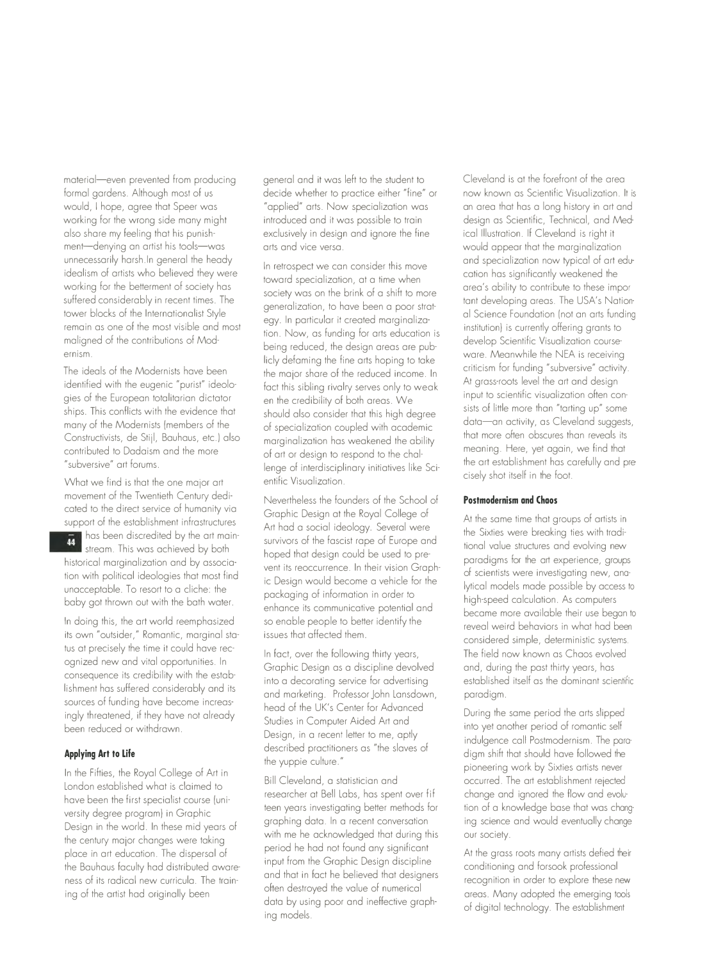material-even prevented from producing formal gardens. Although most of us would, I hope, agree that Speer was working for the wrong side mony might also share my feeling that his punishment-denying an artist his tools-was unnecessarily harsh.In general the heady idealism of artists who believed they were working for the betterment of society has suffered considerably in recent times. The tower blocks of the Internationalist Style remain as one of the most visible and most maligned of the contributions of Modernism.

The ideals of the Modernists have been identified with the eugenic "purist" ideologies of the European totalitarian dictatorships. This conflicts with the evidence that many of the Modernists (members of the Constructivists, de Stijl, Bauhaus, etc.) also contributed to Dadaism and the more "subversive" art forums.

What we find is that the one major art movement of the Twentieth Century dedicated to the direct service of humanity via support of the establishment infrastructures has been discredited by the art main- $\overline{44}$ stream. This was achieved by both historical marginalization and by association with political ideologies that most find unacceptable. To resort to a cliche: the baby got thrown out with the bath water.

In doing this, the art world reemphasized its own "outsider," Romantic, marginal status at precisely the time it could have recognized new and vital opportunities. In consequence its credibility with the establishment has suffered considerably and its sources of funding have become increasingly threatened, if they have not already been reduced or withdrawn.

#### **Applying Art to Life**

In the Fifties, the Royal College of Art in London established what is claimed to have been the first specialist course (university degree program) in Graphic Design in the world. In these mid years of the century major changes were taking place in art education. The dispersal of the Bauhaus faculty had distributed awareness of its radical new curricula. The training of the artist had originally been

general and it was left to the student to decide whether to practice either "fine" or "applied" arts. Now specialization was introduced and it was possible to train exclusively in design and ignore the fine arts and vice versa.

In retrospect we can consider this move toward specialization, at a time when society was on the brink of a shift to more generalization, to have been a poor strategy. In particular it created marginalization. Now, as funding for arts education is being reduced, the design areas are publicly defaming the fine arts hoping to take the major share of the reduced income. In fact this sibling rivalry serves only to weaken the credibility of both areas. We should also consider that this high degree of specialization coupled with academic marginalization has weakened the ability of art or design to respond to the challenge of interdisciplinary initiatives like Scientific Visualization.

Nevertheless the founders of the School of Graphic Design at the Royal College of Art had a social ideology. Several were survivors of the fascist rape of Europe and hoped that design could be used to prevent its reoccurrence. In their vision Graphic Design would become a vehicle for the packaging of information in order to enhance its communicative potential and so enable people to better identify the issues that affected them.

In fact, over the following thirty years, Graphic Design as a discipline devolved into a decorating service for advertising and marketing. Professor John Lansdown, head of the UK's Center for Advanced Studies in Computer Aided Art and Design, in a recent letter to me, aptly described practitioners as "the slaves of the yuppie culture."

Bill Cleveland, a statistician and researcher at Bell Labs, has spent over fifteen years investigating better methods for graphing data. In a recent conversation with me he acknowledged that during this period he had not found any significant input from the Graphic Design discipline and that in fact he believed that designers often destroyed the value of numerical data by using poor and ineffective graphing models.

Cleveland is at the forefront of the area now known as Scientific Visualization. It is an area that has a long history in art and design as Scientific, Technical, and Medical Illustration. If Cleveland is right it would appear that the marginalization and specialization now typical of art education has significantly weakened the area's ability to contribute to these impor tant developing areas. The USA's National Science Foundation (not an arts funding institution) is currently offering grants to develop Scientific Visualization courseware. Meanwhile the NEA is receiving criticism for funding "subversive" activity. At grass-roots level the art and design input to scientific visualization often consists of little more than "tarting up" some data-an activity, as Cleveland suggests, that more often obscures than reveals its meaning. Here, yet again, we find that the art establishment has carefully and precisely shot itself in the foot.

## **Postmodernism and Chaos**

At the same time that groups of artists in the Sixties were breaking ties with traditional value structures and evolving new paradigms for the art experience, groups of scientists were investigating new, analytical models made possible by access to high-speed calculation. As computers became more available their use began to reveal weird behaviors in what had been considered simple, deterministic systems. The field now known as Chaos evolved and, during the past thirty years, has established itself as the dominant scientific paradigm.

During the same period the arts slipped into yet another period of romantic self indulgence call Postmodernism. The para· digm shift that should have followed the pioneering work by Sixties artists never occurred. The art establishment rejected change and ignored the flow and evolution of a knowledge base that was chang· ing science and would eventually change our society.

At the grass roots many artists defied their conditioning and forsook professional recognition in order to explore these new areas. Many adopted the emerging tools of digital technology. The establishment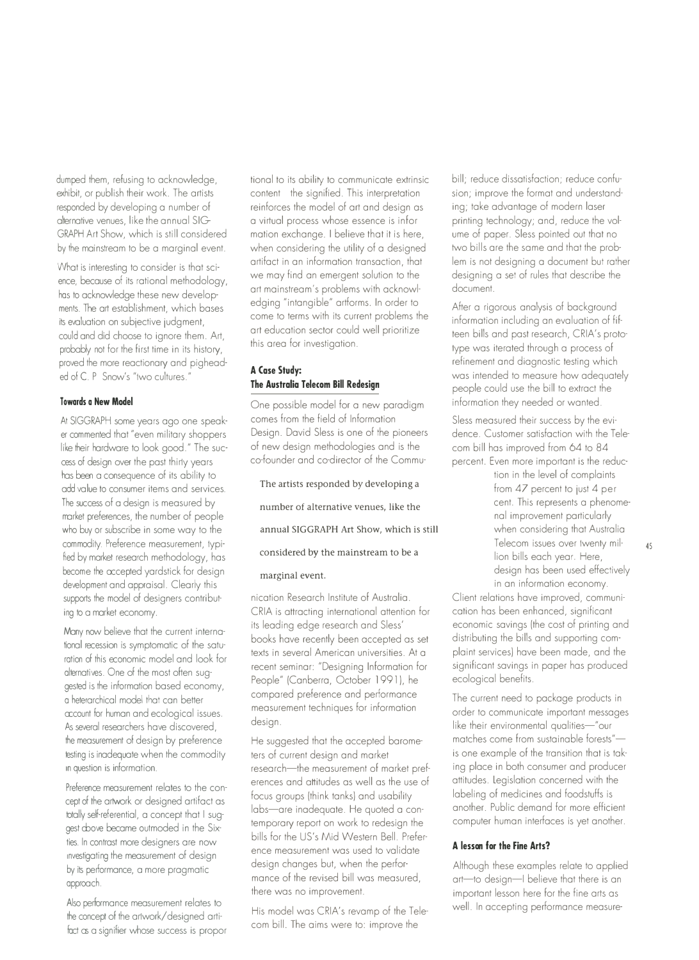dumped them, refusing to acknowledge, exhibit, or publish their work. The artists responded by developing a number of alternative venues, like the annual SIG GRAPH Art Show, which is still considered by the mainstream to be a marginal event.

What is interesting to consider is that science, because of its rational methodology, has to acknowledge these new developments. The art establishment, which bases its evaluation on subjective judgment, could and did choose to ignore them. Art, probably not for the first time in its history, proved the more reactionary and pigheaded of C. P Snow's "two cultures."

#### **Towards a New Model**

At SIGGRAPH some years ago one speaker commented that "even military shoppers like their hardware to look good." The success of design over the past thirty years has been a consequence of its ability to add value to consumer items and services. The success of a design is measured by market preferences, the number of people who buy or subscribe in some way to the commodity. Preference measurement, typified by market research methodology, has become the accepted yardstick for design development and appraisal. Clearly this supports the model of designers contributing to a market economy.

Many now believe that the current internalional recession is symptomatic of the saturation of this economic model and look for alternatives. One of the most often suggested is the information based economy, a heterarchical model that can better account for human and ecological issues. As several researchers have discovered, the measurement of design by preference testing is inadequate when the commodity 1n question is information.

Preference measurement relates to the concept of the artwork or designed artifact as totally self-referential, a concept that I suggest cbove became outmoded in the Sixties. In contrast more designers are now investigating the measurement of design by its performance, a more pragmatic approach.

Also performance measurement relates to the concept of the artwork/ designed artifact as a signifier whose success is propor

tional to its ability to communicate extrinsic content the signified. This interpretation reinforces the model of art and design as a virtual process whose essence is information exchange. I believe that it is here, when considering the utility of a designed artifact in an information transaction, that we may find an emergent solution to the art mainstream's problems with acknowledging "intangible" artforms. In order to come to terms with its current problems the art education sector could well prioritize this area for investigation.

## **A Case Study: The Australia Telecom Bill Redesign**

One possible model for a new paradigm comes from the field of Information Design. David Sless is one of the pioneers of new design methodologies and is the co-founder and co-director of the Commu-

The artists responded by developing a

number of alternative venues, like the

annual SIGGRAPH Art Show, which is still

**considered by** the **mainstream to be a** 

#### **marginal event.**

nication Research Institute of Australia. CRIA is attracting international attention for its leading edge research and Sless' books have recently been accepted as set texts in several American universities. At a recent seminar: "Designing Information for People" (Canberra, October 1991), he compared preference and performance measurement techniques for information design.

He suggested that the accepted barometers of current design and market research-the measurement of market preferences and attitudes as well as the use of focus groups (think tanks) and usability labs-are inadequate. He quoted a contemporary report on work to redesign the bills for the US's Mid Western Bell. Preference measurement was used to validate design changes but, when the performance of the revised bill was measured, there was no improvement.

His model was CRIA's revamp of the Telecom bill. The aims were to: improve the

bill; reduce dissatisfaction; reduce confusion; improve the format and understanding; take advantage of modern laser printing technology; and, reduce the volume of paper. Sless pointed out that no two bills are the same and that the problem is not designing a document but rather designing a set of rules that describe the document.

After a rigorous analysis of background information including an evaluation of fifteen bills and past research, CRIA's prototype was iterated through a process of refinement and diagnostic testing which was intended to measure how adequately people could use the bill to extract the information they needed or wanted.

Sless measured their success by the evidence. Customer satisfaction with the Telecom bill has improved from 64 to 84 percent. Even more important is the reduc-

> tion in the level of complaints from 47 percent to just 4 percent. This represents a phenomenal improvement particularly when considering that Australia Telecom issues over twenty million bills each year. Here, design has been used effectively in an information economy.

Client relations have improved, communication has been enhanced, significant economic savings (the cost of printing and distributing the bills and supporting complaint services) have been made, and the significant savings in paper has produced ecological benefits.

The current need to package products in order to communicate important messages like their environmental qualities-"our matches come from sustainable forests" is one example of the transition that is taking place in both consumer and producer attitudes. Legislation concerned with the labeling of medicines and foodstuffs is another. Public demand for more efficient computer human interfaces is yet another.

# **A lesson for the Fine Arts?**

Although these examples relate to applied art-to design-I believe that there is an important lesson here for the fine arts as well. In accepting performance measure